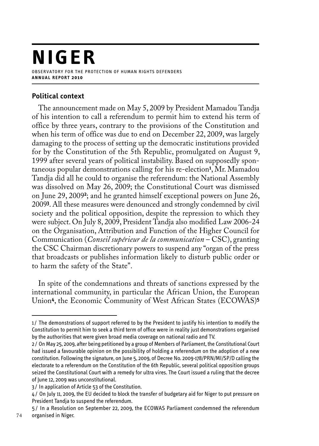# **NIGER** observatory for the protection of human rights defenders **a n n u a l r e p o r t 2 0 1 0**

## **Political context**

The announcement made on May 5, 2009 by President Mamadou Tandja of his intention to call a referendum to permit him to extend his term of office by three years, contrary to the provisions of the Constitution and when his term of office was due to end on December 22, 2009, was largely damaging to the process of setting up the democratic institutions provided for by the Constitution of the 5th Republic, promulgated on August 9, 1999 after several years of political instability. Based on supposedly spontaneous popular demonstrations calling for his re-election**<sup>1</sup>** , Mr. Mamadou Tandja did all he could to organise the referendum: the National Assembly was dissolved on May 26, 2009; the Constitutional Court was dismissed on June 29, 2009**<sup>2</sup>**; and he granted himself exceptional powers on June 26, 2009**<sup>3</sup>**. All these measures were denounced and strongly condemned by civil society and the political opposition, despite the repression to which they were subject. On July 8, 2009, President Tandja also modified Law 2006-24 on the Organisation, Attribution and Function of the Higher Council for Communication (*Conseil supérieur de la communication* – CSC), granting the CSC Chairman discretionary powers to suspend any "organ of the press that broadcasts or publishes information likely to disturb public order or to harm the safety of the State".

In spite of the condemnations and threats of sanctions expressed by the international community, in particular the African Union, the European Union**<sup>4</sup>**, the Economic Community of West African States (ECOWAS)**<sup>5</sup>**

<sup>1/</sup> The demonstrations of support referred to by the President to justify his intention to modify the Constitution to permit him to seek a third term of office were in reality just demonstrations organised by the authorities that were given broad media coverage on national radio and TV.

<sup>2</sup> / On May 25, 2009, after being petitioned by a group of Members of Parliament, the Constitutional Court had issued a favourable opinion on the possibility of holding a referendum on the adoption of a new constitution. Following the signature, on June 5, 2009, of Decree No. 2009-178/PRN/MI/SP/D calling the electorate to a referendum on the Constitution of the 6th Republic, several political opposition groups seized the Constitutional Court with a remedy for ultra vires. The Court issued a ruling that the decree of June 12, 2009 was unconstitutional.

<sup>3</sup> / In application of Article 53 of the Constitution.

<sup>4</sup> / On July 11, 2009, the EU decided to block the transfer of budgetary aid for Niger to put pressure on President Tandja to suspend the referendum.

<sup>5</sup> / In a Resolution on September 22, 2009, the ECOWAS Parliament condemned the referendum organised in Niger.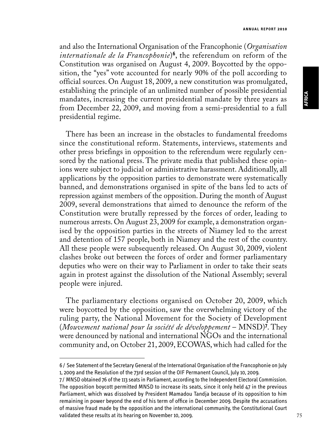#### **a n n u a l r e p o r t 2 0 1 0**

and also the International Organisation of the Francophonie (*Organisation internationale de la Francophonie*)**<sup>6</sup>**, the referendum on reform of the Constitution was organised on August 4, 2009. Boycotted by the opposition, the "yes" vote accounted for nearly 90% of the poll according to official sources. On August 18, 2009, a new constitution was promulgated, establishing the principle of an unlimited number of possible presidential mandates, increasing the current presidential mandate by three years as from December 22, 2009, and moving from a semi-presidential to a full presidential regime.

There has been an increase in the obstacles to fundamental freedoms since the constitutional reform. Statements, interviews, statements and other press briefings in opposition to the referendum were regularly censored by the national press. The private media that published these opinions were subject to judicial or administrative harassment. Additionally, all applications by the opposition parties to demonstrate were systematically banned, and demonstrations organised in spite of the bans led to acts of repression against members of the opposition. During the month of August 2009, several demonstrations that aimed to denounce the reform of the Constitution were brutally repressed by the forces of order, leading to numerous arrests. On August 23, 2009 for example, a demonstration organised by the opposition parties in the streets of Niamey led to the arrest and detention of 157 people, both in Niamey and the rest of the country. All these people were subsequently released. On August 30, 2009, violent clashes broke out between the forces of order and former parliamentary deputies who were on their way to Parliament in order to take their seats again in protest against the dissolution of the National Assembly; several people were injured.

The parliamentary elections organised on October 20, 2009, which were boycotted by the opposition, saw the overwhelming victory of the ruling party, the National Movement for the Society of Development (*Mouvement national pour la société de développement* – MNSD)**<sup>7</sup>** . They were denounced by national and international NGOs and the international community and, on October 21, 2009, ECOWAS, which had called for the

<sup>6/</sup> See Statement of the Secretary General of the International Organisation of the Francophonie on July 1, 2009 and the Resolution of the 73rd session of the OIF Permanent Council, July 10, 2009.

<sup>7/</sup> MNSD obtained 76 of the 113 seats in Parliament, according to the Independent Electoral Commission. The opposition boycott permitted MNSD to increase its seats, since it only held 47 in the previous Parliament, which was dissolved by President Mamadou Tandja because of its opposition to him remaining in power beyond the end of his term of office in December 2009. Despite the accusations of massive fraud made by the opposition and the international community, the Constitutional Court validated these results at its hearing on November 10, 2009.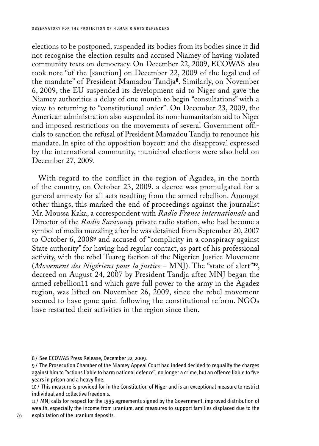elections to be postponed, suspended its bodies from its bodies since it did not recognise the election results and accused Niamey of having violated community texts on democracy. On December 22, 2009, ECOWAS also took note "of the [sanction] on December 22, 2009 of the legal end of the mandate" of President Mamadou Tandja**<sup>8</sup>**. Similarly, on November 6, 2009, the EU suspended its development aid to Niger and gave the Niamey authorities a delay of one month to begin "consultations" with a view to returning to "constitutional order". On December 23, 2009, the American administration also suspended its non-humanitarian aid to Niger and imposed restrictions on the movements of several Government officials to sanction the refusal of President Mamadou Tandja to renounce his mandate. In spite of the opposition boycott and the disapproval expressed by the international community, municipal elections were also held on December 27, 2009.

With regard to the conflict in the region of Agadez, in the north of the country, on October 23, 2009, a decree was promulgated for a general amnesty for all acts resulting from the armed rebellion. Amongst other things, this marked the end of proceedings against the journalist Mr. Moussa Kaka, a correspondent with *Radio France internationale* and Director of the *Radio Saraouniy* private radio station, who had become a symbol of media muzzling after he was detained from September 20, 2007 to October 6, 2008**<sup>9</sup>** and accused of "complicity in a conspiracy against State authority" for having had regular contact, as part of his professional activity, with the rebel Tuareg faction of the Nigerien Justice Movement (*Movement des Nigériens pour la justice* – MNJ). The "state of alert"**<sup>10</sup>**, decreed on August 24, 2007 by President Tandja after MNJ began the armed rebellion11 and which gave full power to the army in the Agadez region, was lifted on November 26, 2009, since the rebel movement seemed to have gone quiet following the constitutional reform. NGOs have restarted their activities in the region since then.

<sup>8</sup> / See ECOWAS Press Release, December 22, 2009.

<sup>9</sup> / The Prosecution Chamber of the Niamey Appeal Court had indeed decided to requalify the charges against him to "actions liable to harm national defence", no longer a crime, but an offence liable to five years in prison and a heavy fine.

<sup>10</sup> / This measure is provided for in the Constitution of Niger and is an exceptional measure to restrict individual and collective freedoms.

<sup>11/</sup> MNJ calls for respect for the 1995 agreements signed by the Government, improved distribution of wealth, especially the income from uranium, and measures to support families displaced due to the exploitation of the uranium deposits.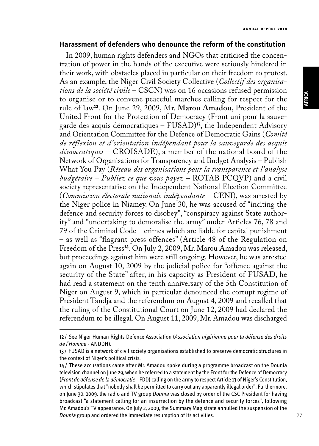#### **Harassment of defenders who denounce the reform of the constitution**

In 2009, human rights defenders and NGOs that criticised the concentration of power in the hands of the executive were seriously hindered in their work, with obstacles placed in particular on their freedom to protest. As an example, the Niger Civil Society Collective (*Collectif des organisations de la société civile* – CSCN) was on 16 occasions refused permission to organise or to convene peaceful marches calling for respect for the rule of law**<sup>12</sup>**. On June 29, 2009, Mr. **Marou Amadou**, President of the United Front for the Protection of Democracy (Front uni pour la sauvegarde des acquis démocratiques – FUSAD)**<sup>13</sup>**, the Independent Advisory and Orientation Committee for the Defence of Democratic Gains (*Comité de réflexion et d'orientation indépendant pour la sauvegarde des acquis démocratiques* – CROISADE), a member of the national board of the Network of Organisations for Transparency and Budget Analysis – Publish What You Pay (*Réseau des organisations pour la transparence et l'analyse budgétaire – Publiez ce que vous payez* – ROTAB PCQVP) and a civil society representative on the Independent National Election Committee (*Commission électorale nationale indépendante* – CENI), was arrested by the Niger police in Niamey. On June 30, he was accused of "inciting the defence and security forces to disobey", "conspiracy against State authority" and "undertaking to demoralise the army" under Articles 76, 78 and 79 of the Criminal Code – crimes which are liable for capital punishment – as well as "flagrant press offences" (Article 48 of the Regulation on Freedom of the Press<sup>14</sup>. On July 2, 2009, Mr. Marou Amadou was released, but proceedings against him were still ongoing. However, he was arrested again on August 10, 2009 by the judicial police for "offence against the security of the State" after, in his capacity as President of FUSAD, he had read a statement on the tenth anniversary of the 5th Constitution of Niger on August 9, which in particular denounced the corrupt regime of President Tandja and the referendum on August 4, 2009 and recalled that the ruling of the Constitutional Court on June 12, 2009 had declared the referendum to be illegal. On August 11, 2009, Mr. Amadou was discharged

<sup>12</sup> / See Niger Human Rights Defence Association (*Association nigérienne pour la défense des droits de l'Homme* - ANDDH).

<sup>13</sup> / FUSAD is a network of civil society organisations established to preserve democratic structures in the context of Niger's political crisis.

<sup>14</sup> / These accusations came after Mr. Amadou spoke during a programme broadcast on the Dounia television channel on June 29, when he referred to a statement by the Front for the Defence of Democracy (*Front de défense de la démocratie* - FDD) calling on the army to respect Article 13 of Niger's Constitution, which stipulates that "nobody shall be permitted to carry out any apparently illegal order". Furthermore, on June 30, 2009, the radio and TV group *Dounia* was closed by order of the CSC President for having broadcast "a statement calling for an insurrection by the defence and security forces", following Mr. Amadou's TV appearance. On July 2, 2009, the Summary Magistrate annulled the suspension of the *Dounia* group and ordered the immediate resumption of its activities.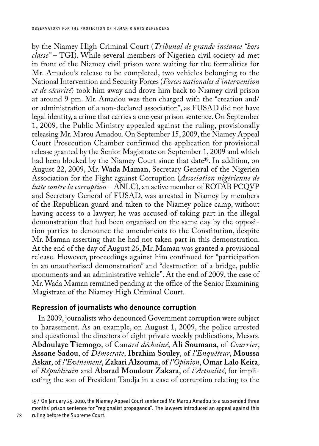by the Niamey High Criminal Court (*Tribunal de grande instance "hors classe"* – TGI). While several members of Nigerien civil society ad met in front of the Niamey civil prison were waiting for the formalities for Mr. Amadou's release to be completed, two vehicles belonging to the National Intervention and Security Forces (*Forces nationales d'intervention et de sécurité*) took him away and drove him back to Niamey civil prison at around 9 pm. Mr. Amadou was then charged with the "creation and/ or administration of a non-declared association", as FUSAD did not have legal identity, a crime that carries a one year prison sentence. On September 1, 2009, the Public Ministry appealed against the ruling, provisionally releasing Mr. Marou Amadou. On September 15, 2009, the Niamey Appeal Court Prosecution Chamber confirmed the application for provisional release granted by the Senior Magistrate on September 1, 2009 and which had been blocked by the Niamey Court since that date**<sup>15</sup>**. In addition, on August 22, 2009, Mr. **Wada Maman**, Secretary General of the Nigerien Association for the Fight against Corruption (*Association nigérienne de lutte contre la corruption* – ANLC), an active member of ROTAB PCQVP and Secretary General of FUSAD, was arrested in Niamey by members of the Republican guard and taken to the Niamey police camp, without having access to a lawyer; he was accused of taking part in the illegal demonstration that had been organised on the same day by the opposition parties to denounce the amendments to the Constitution, despite Mr. Maman asserting that he had not taken part in this demonstration. At the end of the day of August 26, Mr. Maman was granted a provisional release. However, proceedings against him continued for "participation in an unauthorised demonstration" and "destruction of a bridge, public monuments and an administrative vehicle". At the end of 2009, the case of Mr. Wada Maman remained pending at the office of the Senior Examining Magistrate of the Niamey High Criminal Court.

### **Repression of journalists who denounce corruption**

In 2009, journalists who denounced Government corruption were subject to harassment. As an example, on August 1, 2009, the police arrested and questioned the directors of eight private weekly publications, Messrs. **Abdoulaye Tiemogo**, of Can*ard déchaîné*, **Ali Soumana**, of *Courrier*, **Assane Sadou**, of *Démocrate*, **Ibrahim Souley**, of *l'Enquêteur*, **Moussa Askar**, of *l'Evénement*, **Zakari Alzouma**, of *l'Opinion*, **Omar Lalo Keita**, of *Républicain* and **Abarad Moudour Zakara**, of *l'Actualité*, for implicating the son of President Tandja in a case of corruption relating to the

<sup>15</sup> / On January 25, 2010, the Niamey Appeal Court sentenced Mr. Marou Amadou to a suspended three months' prison sentence for "regionalist propaganda". The lawyers introduced an appeal against this ruling before the Supreme Court.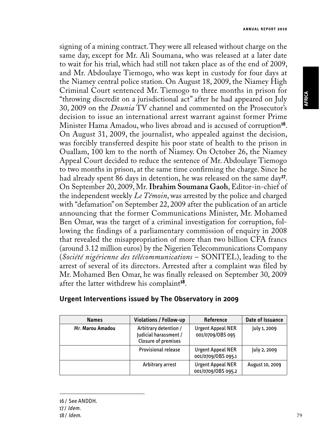signing of a mining contract. They were all released without charge on the same day, except for Mr. Ali Soumana, who was released at a later date to wait for his trial, which had still not taken place as of the end of 2009, and Mr. Abdoulaye Tiemogo, who was kept in custody for four days at the Niamey central police station. On August 18, 2009, the Niamey High Criminal Court sentenced Mr. Tiemogo to three months in prison for "throwing discredit on a jurisdictional act" after he had appeared on July 30, 2009 on the *Dounia* TV channel and commented on the Prosecutor's decision to issue an international arrest warrant against former Prime Minister Hama Amadou, who lives abroad and is accused of corruption**<sup>16</sup>**. On August 31, 2009, the journalist, who appealed against the decision, was forcibly transferred despite his poor state of health to the prison in Ouallam, 100 km to the north of Niamey. On October 26, the Niamey Appeal Court decided to reduce the sentence of Mr. Abdoulaye Tiemogo to two months in prison, at the same time confirming the charge. Since he had already spent 86 days in detention, he was released on the same day**<sup>17</sup>**. On September 20, 2009, Mr. **Ibrahim Soumana Gaoh**, Editor-in-chief of the independent weekly *Le Témoin*, was arrested by the police and charged with "defamation" on September 22, 2009 after the publication of an article announcing that the former Communications Minister, Mr. Mohamed Ben Omar, was the target of a criminal investigation for corruption, following the findings of a parliamentary commission of enquiry in 2008 that revealed the misappropriation of more than two billion CFA francs (around 3.12 million euros) by the Nigerien Telecommunications Company (*Société nigérienne des télécommunications* – SONITEL), leading to the arrest of several of its directors. Arrested after a complaint was filed by Mr. Mohamed Ben Omar, he was finally released on September 30, 2009 after the latter withdrew his complaint**<sup>18</sup>**.

| <b>Names</b>     | Violations / Follow-up                                                | Reference                                      | Date of Issuance |
|------------------|-----------------------------------------------------------------------|------------------------------------------------|------------------|
| Mr. Marou Amadou | Arbitrary detention /<br>Judicial harassment /<br>Closure of premises | <b>Urgent Appeal NER</b><br>001/0709/0BS 095   | July 1, 2009     |
|                  | <b>Provisional release</b>                                            | <b>Urgent Appeal NER</b><br>001/0709/0BS 095.1 | July 2, 2009     |
|                  | Arbitrary arrest                                                      | <b>Urgent Appeal NER</b><br>001/0709/0BS 095.2 | August 10, 2009  |

#### **Urgent Interventions issued by The Observatory in 2009**

**AFRICA**

<sup>16</sup> / See ANDDH.

<sup>17/</sup> *Idem*.

<sup>18</sup> / *Idem*.